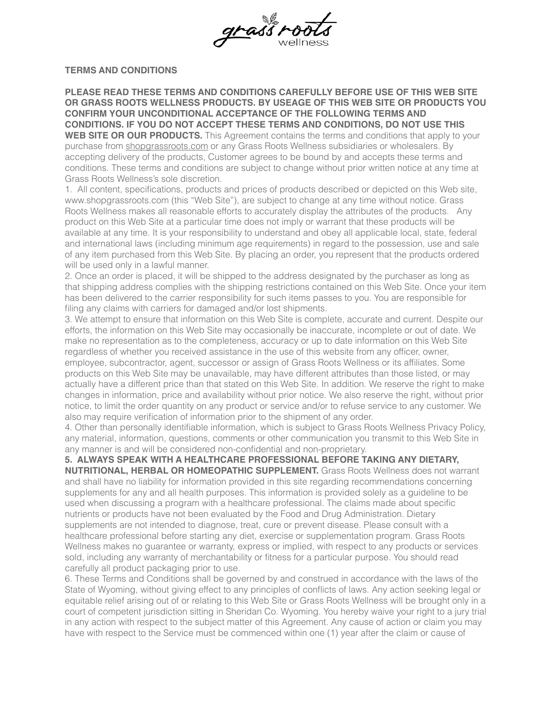

## **TERMS AND CONDITIONS**

**PLEASE READ THESE TERMS AND CONDITIONS CAREFULLY BEFORE USE OF THIS WEB SITE OR GRASS ROOTS WELLNESS PRODUCTS. BY USEAGE OF THIS WEB SITE OR PRODUCTS YOU CONFIRM YOUR UNCONDITIONAL ACCEPTANCE OF THE FOLLOWING TERMS AND CONDITIONS. IF YOU DO NOT ACCEPT THESE TERMS AND CONDITIONS, DO NOT USE THIS**  WEB SITE OR OUR PRODUCTS. This Agreement contains the terms and conditions that apply to your purchase from [shopgrassroots.com](http://shopgrassroots.com) or any Grass Roots Wellness subsidiaries or wholesalers. By accepting delivery of the products, Customer agrees to be bound by and accepts these terms and conditions. These terms and conditions are subject to change without prior written notice at any time at Grass Roots Wellness's sole discretion.

1. All content, specifications, products and prices of products described or depicted on this Web site, www.shopgrassroots.com (this "Web Site"), are subject to change at any time without notice. Grass Roots Wellness makes all reasonable efforts to accurately display the attributes of the products. Any product on this Web Site at a particular time does not imply or warrant that these products will be available at any time. It is your responsibility to understand and obey all applicable local, state, federal and international laws (including minimum age requirements) in regard to the possession, use and sale of any item purchased from this Web Site. By placing an order, you represent that the products ordered will be used only in a lawful manner.

2. Once an order is placed, it will be shipped to the address designated by the purchaser as long as that shipping address complies with the shipping restrictions contained on this Web Site. Once your item has been delivered to the carrier responsibility for such items passes to you. You are responsible for filing any claims with carriers for damaged and/or lost shipments.

3. We attempt to ensure that information on this Web Site is complete, accurate and current. Despite our efforts, the information on this Web Site may occasionally be inaccurate, incomplete or out of date. We make no representation as to the completeness, accuracy or up to date information on this Web Site regardless of whether you received assistance in the use of this website from any officer, owner, employee, subcontractor, agent, successor or assign of Grass Roots Wellness or its affiliates. Some products on this Web Site may be unavailable, may have different attributes than those listed, or may actually have a different price than that stated on this Web Site. In addition. We reserve the right to make changes in information, price and availability without prior notice. We also reserve the right, without prior notice, to limit the order quantity on any product or service and/or to refuse service to any customer. We also may require verification of information prior to the shipment of any order.

4. Other than personally identifiable information, which is subject to Grass Roots Wellness Privacy Policy, any material, information, questions, comments or other communication you transmit to this Web Site in any manner is and will be considered non-confidential and non-proprietary.

**5. ALWAYS SPEAK WITH A HEALTHCARE PROFESSIONAL BEFORE TAKING ANY DIETARY, NUTRITIONAL, HERBAL OR HOMEOPATHIC SUPPLEMENT.** Grass Roots Wellness does not warrant and shall have no liability for information provided in this site regarding recommendations concerning supplements for any and all health purposes. This information is provided solely as a guideline to be used when discussing a program with a healthcare professional. The claims made about specific nutrients or products have not been evaluated by the Food and Drug Administration. Dietary supplements are not intended to diagnose, treat, cure or prevent disease. Please consult with a healthcare professional before starting any diet, exercise or supplementation program. Grass Roots Wellness makes no guarantee or warranty, express or implied, with respect to any products or services sold, including any warranty of merchantability or fitness for a particular purpose. You should read carefully all product packaging prior to use.

6. These Terms and Conditions shall be governed by and construed in accordance with the laws of the State of Wyoming, without giving effect to any principles of conflicts of laws. Any action seeking legal or equitable relief arising out of or relating to this Web Site or Grass Roots Wellness will be brought only in a court of competent jurisdiction sitting in Sheridan Co. Wyoming. You hereby waive your right to a jury trial in any action with respect to the subject matter of this Agreement. Any cause of action or claim you may have with respect to the Service must be commenced within one (1) year after the claim or cause of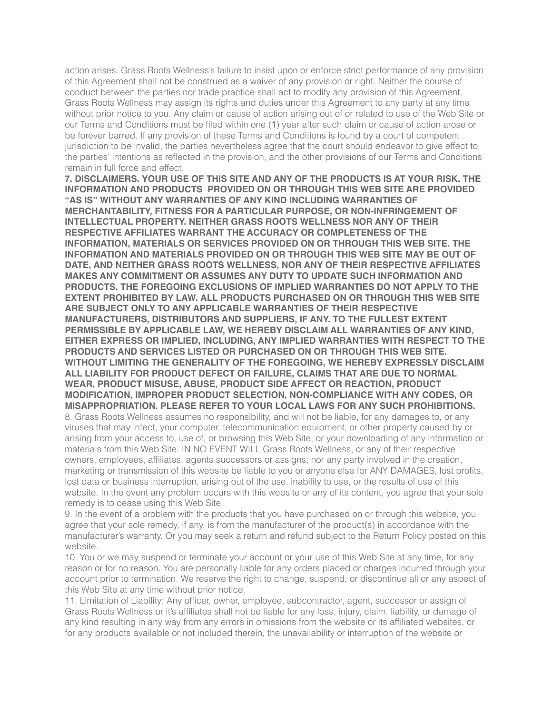action arises. Grass Roots Wellness's failure to insist upon or enforce strict performance of any provision of this Agreement shall not be construed as a waiver of any provision or right. Neither the course of conduct between the parties nor trade practice shall act to modify any provision of this Agreement. Grass Roots Wellness may assign its rights and duties under this Agreement to any party at any time without prior notice to you. Any claim or cause of action arising out of or related to use of the Web Site or our Terms and Conditions must be filed within one (1) year after such claim or cause of action arose or be forever barred. If any provision of these Terms and Conditions is found by a court of competent jurisdiction to be invalid, the parties nevertheless agree that the court should endeavor to give effect to the parties' intentions as reflected in the provision, and the other provisions of our Terms and Conditions remain in full force and effect.

**7. DISCLAIMERS. YOUR USE OF THIS SITE AND ANY OF THE PRODUCTS IS AT YOUR RISK. THE INFORMATION AND PRODUCTS PROVIDED ON OR THROUGH THIS WEB SITE ARE PROVIDED "AS IS" WITHOUT ANY WARRANTIES OF ANY KIND INCLUDING WARRANTIES OF MERCHANTABILITY, FITNESS FOR A PARTICULAR PURPOSE, OR NON-INFRINGEMENT OF INTELLECTUAL PROPERTY. NEITHER GRASS ROOTS WELLNESS NOR ANY OF THEIR RESPECTIVE AFFILIATES WARRANT THE ACCURACY OR COMPLETENESS OF THE INFORMATION, MATERIALS OR SERVICES PROVIDED ON OR THROUGH THIS WEB SITE. THE INFORMATION AND MATERIALS PROVIDED ON OR THROUGH THIS WEB SITE MAY BE OUT OF DATE, AND NEITHER GRASS ROOTS WELLNESS, NOR ANY OF THEIR RESPECTIVE AFFILIATES MAKES ANY COMMITMENT OR ASSUMES ANY DUTY TO UPDATE SUCH INFORMATION AND PRODUCTS. THE FOREGOING EXCLUSIONS OF IMPLIED WARRANTIES DO NOT APPLY TO THE EXTENT PROHIBITED BY LAW. ALL PRODUCTS PURCHASED ON OR THROUGH THIS WEB SITE ARE SUBJECT ONLY TO ANY APPLICABLE WARRANTIES OF THEIR RESPECTIVE MANUFACTURERS, DISTRIBUTORS AND SUPPLIERS, IF ANY. TO THE FULLEST EXTENT PERMISSIBLE BY APPLICABLE LAW, WE HEREBY DISCLAIM ALL WARRANTIES OF ANY KIND, EITHER EXPRESS OR IMPLIED, INCLUDING, ANY IMPLIED WARRANTIES WITH RESPECT TO THE PRODUCTS AND SERVICES LISTED OR PURCHASED ON OR THROUGH THIS WEB SITE. WITHOUT LIMITING THE GENERALITY OF THE FOREGOING, WE HEREBY EXPRESSLY DISCLAIM ALL LIABILITY FOR PRODUCT DEFECT OR FAILURE, CLAIMS THAT ARE DUE TO NORMAL WEAR, PRODUCT MISUSE, ABUSE, PRODUCT SIDE AFFECT OR REACTION, PRODUCT MODIFICATION, IMPROPER PRODUCT SELECTION, NON-COMPLIANCE WITH ANY CODES, OR MISAPPROPRIATION. PLEASE REFER TO YOUR LOCAL LAWS FOR ANY SUCH PROHIBITIONS.**

8. Grass Roots Wellness assumes no responsibility, and will not be liable, for any damages to, or any viruses that may infect, your computer, telecommunication equipment, or other property caused by or arising from your access to, use of, or browsing this Web Site, or your downloading of any information or materials from this Web Site. IN NO EVENT WILL Grass Roots Wellness, or any of their respective owners, employees, affiliates, agents successors or assigns, nor any party involved in the creation, marketing or transmission of this website be liable to you or anyone else for ANY DAMAGES, lost profits, lost data or business interruption, arising out of the use, inability to use, or the results of use of this website. In the event any problem occurs with this website or any of its content, you agree that your sole remedy is to cease using this Web Site.

9. In the event of a problem with the products that you have purchased on or through this website, you agree that your sole remedy, if any, is from the manufacturer of the product(s) in accordance with the manufacturer's warranty. Or you may seek a return and refund subject to the Return Policy posted on this website.

10. You or we may suspend or terminate your account or your use of this Web Site at any time, for any reason or for no reason. You are personally liable for any orders placed or charges incurred through your account prior to termination. We reserve the right to change, suspend, or discontinue all or any aspect of this Web Site at any time without prior notice.

11. Limitation of Liability: Any officer, owner, employee, subcontractor, agent, successor or assign of Grass Roots Wellness or it's affiliates shall not be liable for any loss, injury, claim, liability, or damage of any kind resulting in any way from any errors in omissions from the website or its affiliated websites, or for any products available or not included therein, the unavailability or interruption of the website or